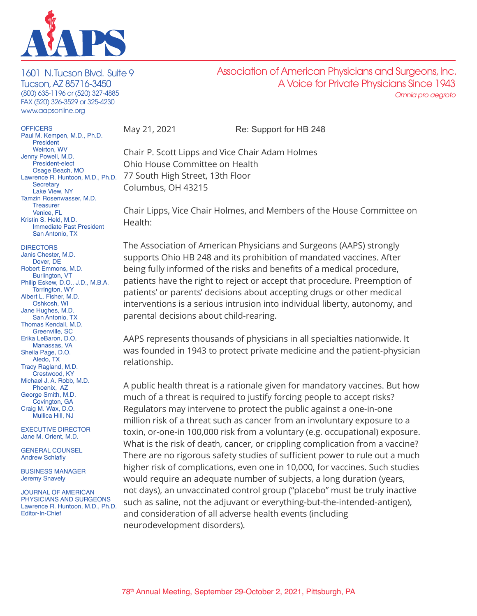

1601 N. Tucson Blvd. Suite 9 Tucson, AZ 85716-3450 (800) 635-1196 or (520) 327-4885 FAX (520) 326-3529 or 325-4230 www.aapsonline.org

**OFFICERS** Paul M. Kempen, M.D., Ph.D. President Weirton, WV Jenny Powell, M.D. President-elect Osage Beach, MO **Secretary** Lake View, NY Tamzin Rosenwasser, M.D. **Treasurer** Venice, FL Kristin S. Held, M.D. Immediate Past President San Antonio, TX

- **DIRECTORS** Janis Chester, M.D. Dover, DE Robert Emmons, M.D. Burlington, VT Philip Eskew, D.O., J.D., M.B.A. Torrington, WY Albert L. Fisher, M.D. Oshkosh, WI Jane Hughes, M.D. San Antonio, TX Thomas Kendall, M.D. Greenville, SC Erika LeBaron, D.O. Manassas, VA Sheila Page, D.O. Aledo, TX Tracy Ragland, M.D. Crestwood, KY
- Michael J. A. Robb, M.D. Phoenix, AZ George Smith, M.D. Covington, GA Craig M. Wax, D.O. Mullica Hill, NJ

EXECUTIVE DIRECTOR Jane M. Orient, M.D.

GENERAL COUNSEL Andrew Schlafly

BUSINESS MANAGER Jeremy Snavely

JOURNAL OF AMERICAN PHYSICIANS AND SURGEONS Lawrence R. Huntoon, M.D., Ph.D. Editor-In-Chief

May 21, 2021 Re: Support for HB 248

Association of American Physicians and Surgeons, Inc.

A Voice for Private Physicians Since 1943

*Omnia pro aegroto*

Lawrence R. Huntoon, M.D., Ph.D. 77 South High Street, 13th Floor Chair P. Scott Lipps and Vice Chair Adam Holmes Ohio House Committee on Health Columbus, OH 43215

> Chair Lipps, Vice Chair Holmes, and Members of the House Committee on Health:

The Association of American Physicians and Surgeons (AAPS) strongly supports Ohio HB 248 and its prohibition of mandated vaccines. After being fully informed of the risks and benefits of a medical procedure, patients have the right to reject or accept that procedure. Preemption of patients' or parents' decisions about accepting drugs or other medical interventions is a serious intrusion into individual liberty, autonomy, and parental decisions about child-rearing.

AAPS represents thousands of physicians in all specialties nationwide. It was founded in 1943 to protect private medicine and the patient-physician relationship.

A public health threat is a rationale given for mandatory vaccines. But how much of a threat is required to justify forcing people to accept risks? Regulators may intervene to protect the public against a one-in-one million risk of a threat such as cancer from an involuntary exposure to a toxin, or-one-in 100,000 risk from a voluntary (e.g. occupational) exposure. What is the risk of death, cancer, or crippling complication from a vaccine? There are no rigorous safety studies of sufficient power to rule out a much higher risk of complications, even one in 10,000, for vaccines. Such studies would require an adequate number of subjects, a long duration (years, not days), an unvaccinated control group ("placebo" must be truly inactive such as saline, not the adjuvant or everything-but-the-intended-antigen), and consideration of all adverse health events (including neurodevelopment disorders).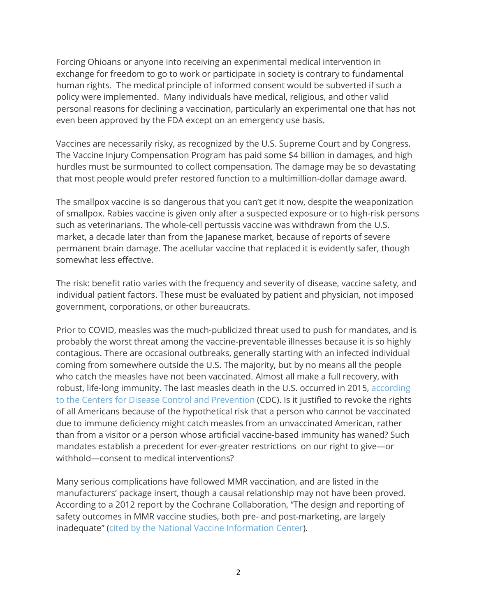Forcing Ohioans or anyone into receiving an experimental medical intervention in exchange for freedom to go to work or participate in society is contrary to fundamental human rights. The medical principle of informed consent would be subverted if such a policy were implemented. Many individuals have medical, religious, and other valid personal reasons for declining a vaccination, particularly an experimental one that has not even been approved by the FDA except on an emergency use basis.

Vaccines are necessarily risky, as recognized by the U.S. Supreme Court and by Congress. The Vaccine Injury Compensation Program has paid some \$4 billion in damages, and high hurdles must be surmounted to collect compensation. The damage may be so devastating that most people would prefer restored function to a multimillion-dollar damage award.

The smallpox vaccine is so dangerous that you can't get it now, despite the weaponization of smallpox. Rabies vaccine is given only after a suspected exposure or to high-risk persons such as veterinarians. The whole-cell pertussis vaccine was withdrawn from the U.S. market, a decade later than from the Japanese market, because of reports of severe permanent brain damage. The acellular vaccine that replaced it is evidently safer, though somewhat less effective.

The risk: benefit ratio varies with the frequency and severity of disease, vaccine safety, and individual patient factors. These must be evaluated by patient and physician, not imposed government, corporations, or other bureaucrats.

Prior to COVID, measles was the much-publicized threat used to push for mandates, and is probably the worst threat among the vaccine-preventable illnesses because it is so highly contagious. There are occasional outbreaks, generally starting with an infected individual coming from somewhere outside the U.S. The majority, but by no means all the people who catch the measles have not been vaccinated. Almost all make a full recovery, with robust, life-long immunity. The last measles death in the U.S. occurred in 2015, [according](https://www.cdc.gov/measles/downloads/measlesdataandstatsslideset.pdf) to the Centers for Disease Control and [Prevention](https://www.cdc.gov/measles/downloads/measlesdataandstatsslideset.pdf) (CDC). Is it justified to revoke the rights of all Americans because of the hypothetical risk that a person who cannot be vaccinated due to immune deficiency might catch measles from an unvaccinated American, rather than from a visitor or a person whose artificial vaccine-based immunity has waned? Such mandates establish a precedent for ever-greater restrictions on our right to give—or withhold—consent to medical interventions?

Many serious complications have followed MMR vaccination, and are listed in the manufacturers' package insert, though a causal relationship may not have been proved. According to a 2012 report by the Cochrane Collaboration, "The design and reporting of safety outcomes in MMR vaccine studies, both pre- and post-marketing, are largely inadequate" (cited by the National Vaccine [Information](https://www.nvic.org/vaccines-and-diseases/measles/measles-vaccine-injury-death.aspx) Center).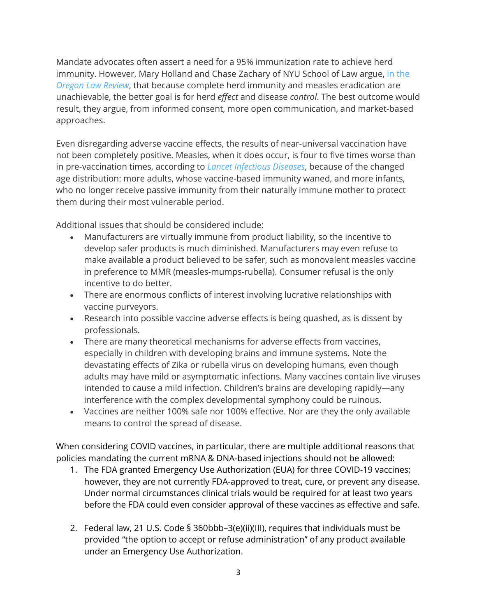Mandate advocates often assert a need for a 95% immunization rate to achieve herd immunity. However, Mary Holland and Chase Zachary of NYU School of Law argue, in [the](http://vaccinesafetycouncilminnesota.org/wp-content/uploads/2015/02/Herd-Immunity.pdf) *[Oregon](http://vaccinesafetycouncilminnesota.org/wp-content/uploads/2015/02/Herd-Immunity.pdf) Law Review*, that because complete herd immunity and measles eradication are unachievable, the better goal is for herd *effect* and disease *control*. The best outcome would result, they argue, from informed consent, more open communication, and market-based approaches.

Even disregarding adverse vaccine effects, the results of near-universal vaccination have not been completely positive. Measles, when it does occur, is four to five times worse than in pre-vaccination times, according to *Lancet [Infectious](https://www.sciencedirect.com/science/article/pii/S1473309915000535) Diseases*, because of the changed age distribution: more adults, whose vaccine-based immunity waned, and more infants, who no longer receive passive immunity from their naturally immune mother to protect them during their most vulnerable period.

Additional issues that should be considered include:

- Manufacturers are virtually immune from product liability, so the incentive to develop safer products is much diminished. Manufacturers may even refuse to make available a product believed to be safer, such as monovalent measles vaccine in preference to MMR (measles-mumps-rubella). Consumer refusal is the only incentive to do better.
- There are enormous conflicts of interest involving lucrative relationships with vaccine purveyors.
- Research into possible vaccine adverse effects is being quashed, as is dissent by professionals.
- There are many theoretical mechanisms for adverse effects from vaccines, especially in children with developing brains and immune systems. Note the devastating effects of Zika or rubella virus on developing humans, even though adults may have mild or asymptomatic infections. Many vaccines contain live viruses intended to cause a mild infection. Children's brains are developing rapidly—any interference with the complex developmental symphony could be ruinous.
- Vaccines are neither 100% safe nor 100% effective. Nor are they the only available means to control the spread of disease.

When considering COVID vaccines, in particular, there are multiple additional reasons that policies mandating the current mRNA & DNA-based injections should not be allowed:

- 1. The FDA granted Emergency Use Authorization (EUA) for three COVID-19 vaccines; however, they are not currently FDA-approved to treat, cure, or prevent any disease. Under normal circumstances clinical trials would be required for at least two years before the FDA could even consider approval of these vaccines as effective and safe.
- 2. Federal law, 21 U.S. Code § 360bbb–3(e)(ii)(III), requires that individuals must be provided "the option to accept or refuse administration" of any product available under an Emergency Use Authorization.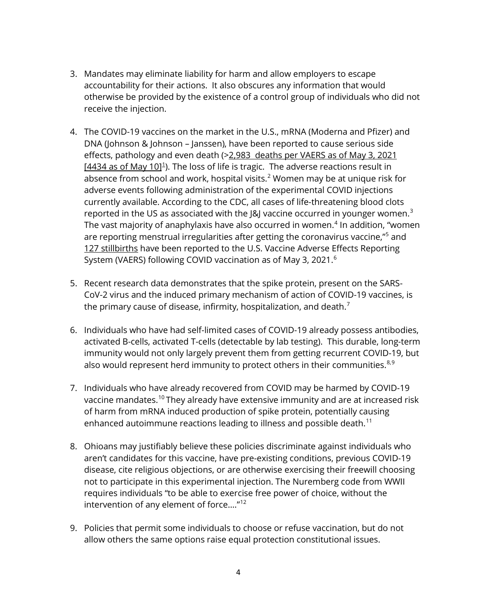- 3. Mandates may eliminate liability for harm and allow employers to escape accountability for their actions. It also obscures any information that would otherwise be provided by the existence of a control group of individuals who did not receive the injection.
- 4. The COVID-19 vaccines on the market in the U.S., mRNA (Moderna and Pfizer) and DNA (Johnson & Johnson – Janssen), have been reported to cause serious side effects, pathology and even death (>2,983 deaths per VAERS as of May 3, 2021  $[4434$  as of May [1](#page-5-0)0]<sup>1</sup>). The loss of life is tragic. The adverse reactions result in absence from school and work, hospital visits.<sup>[2](#page-5-1)</sup> Women may be at unique risk for adverse events following administration of the experimental COVID injections currently available. According to the CDC, all cases of life-threatening blood clots reported in the US as associated with the J&J vaccine occurred in younger women.<sup>[3](#page-5-2)</sup> The vast majority of anaphylaxis have also occurred in women.<sup>[4](#page-5-3)</sup> In addition, "women are reporting menstrual irregularities after getting the coronavirus vaccine,"<sup>[5](#page-5-4)</sup> and 127 stillbirths have been reported to the U.S. Vaccine Adverse Effects Reporting System (VAERS) following COVID vaccination as of May 3, 2021.<sup>[6](#page-5-5)</sup>
- 5. Recent research data demonstrates that the spike protein, present on the SARS-CoV-2 virus and the induced primary mechanism of action of COVID-19 vaccines, is the primary cause of disease, infirmity, hospitalization, and death. $<sup>7</sup>$  $<sup>7</sup>$  $<sup>7</sup>$ </sup>
- 6. Individuals who have had self-limited cases of COVID-19 already possess antibodies, activated B-cells, activated T-cells (detectable by lab testing). This durable, long-term immunity would not only largely prevent them from getting recurrent COVID-19, but also would represent herd immunity to protect others in their communities. $8,9$  $8,9$
- 7. Individuals who have already recovered from COVID may be harmed by COVID-19 vaccine mandates.[10](#page-5-9) They already have extensive immunity and are at increased risk of harm from mRNA induced production of spike protein, potentially causing enhanced autoimmune reactions leading to illness and possible death.<sup>[11](#page-5-10)</sup>
- 8. Ohioans may justifiably believe these policies discriminate against individuals who aren't candidates for this vaccine, have pre-existing conditions, previous COVID-19 disease, cite religious objections, or are otherwise exercising their freewill choosing not to participate in this experimental injection. The Nuremberg code from WWII requires individuals "to be able to exercise free power of choice, without the intervention of any element of force…."[12](#page-5-11)
- 9. Policies that permit some individuals to choose or refuse vaccination, but do not allow others the same options raise equal protection constitutional issues.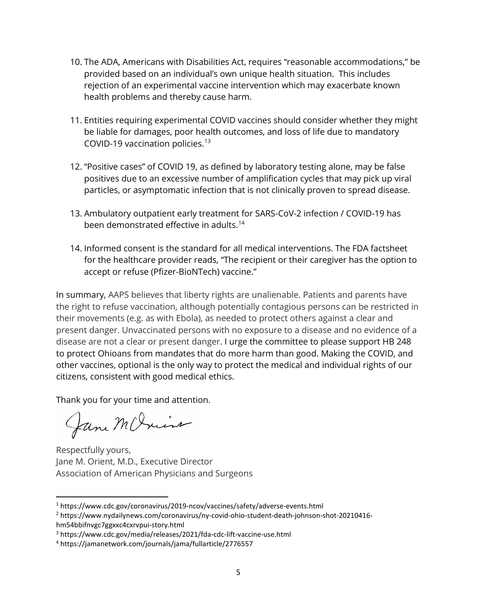- 10. The ADA, Americans with Disabilities Act, requires "reasonable accommodations," be provided based on an individual's own unique health situation. This includes rejection of an experimental vaccine intervention which may exacerbate known health problems and thereby cause harm.
- 11. Entities requiring experimental COVID vaccines should consider whether they might be liable for damages, poor health outcomes, and loss of life due to mandatory COVID-19 vaccination policies.<sup>[13](#page-5-12)</sup>
- 12. "Positive cases" of COVID 19, as defined by laboratory testing alone, may be false positives due to an excessive number of amplification cycles that may pick up viral particles, or asymptomatic infection that is not clinically proven to spread disease.
- 13. Ambulatory outpatient early treatment for SARS-CoV-2 infection / COVID-19 has been demonstrated effective in adults.<sup>[14](#page-5-13)</sup>
- 14. Informed consent is the standard for all medical interventions. The FDA factsheet for the healthcare provider reads, "The recipient or their caregiver has the option to accept or refuse (Pfizer-BioNTech) vaccine."

In summary, AAPS believes that liberty rights are unalienable. Patients and parents have the right to refuse vaccination, although potentially contagious persons can be restricted in their movements (e.g. as with Ebola), as needed to protect others against a clear and present danger. Unvaccinated persons with no exposure to a disease and no evidence of a disease are not a clear or present danger. I urge the committee to please support HB 248 to protect Ohioans from mandates that do more harm than good. Making the COVID, and other vaccines, optional is the only way to protect the medical and individual rights of our citizens, consistent with good medical ethics.

Thank you for your time and attention.

Jane McJuis

Respectfully yours, Jane M. Orient, M.D., Executive Director Association of American Physicians and Surgeons

<sup>1</sup> https://www.cdc.gov/coronavirus/2019-ncov/vaccines/safety/adverse-events.html

<sup>2</sup> https://www.nydailynews.com/coronavirus/ny-covid-ohio-student-death-johnson-shot-20210416 hm54bbifnvgc7ggxxc4cxrvpui-story.html

<sup>3</sup> https://www.cdc.gov/media/releases/2021/fda-cdc-lift-vaccine-use.html

<sup>4</sup> https://jamanetwork.com/journals/jama/fullarticle/2776557